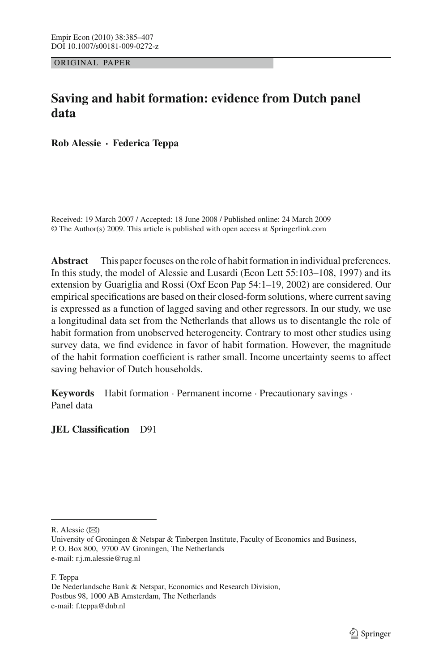ORIGINAL PAPER

# **Saving and habit formation: evidence from Dutch panel data**

**Rob Alessie · Federica Teppa**

Received: 19 March 2007 / Accepted: 18 June 2008 / Published online: 24 March 2009 © The Author(s) 2009. This article is published with open access at Springerlink.com

**Abstract** This paper focuses on the role of habit formation in individual preferences. In this study, the model of Alessie and Lusardi (Econ Lett 55:103–108, 1997) and its extension by Guariglia and Rossi (Oxf Econ Pap 54:1–19, 2002) are considered. Our empirical specifications are based on their closed-form solutions, where current saving is expressed as a function of lagged saving and other regressors. In our study, we use a longitudinal data set from the Netherlands that allows us to disentangle the role of habit formation from unobserved heterogeneity. Contrary to most other studies using survey data, we find evidence in favor of habit formation. However, the magnitude of the habit formation coefficient is rather small. Income uncertainty seems to affect saving behavior of Dutch households.

**Keywords** Habit formation · Permanent income · Precautionary savings · Panel data

## **JEL Classification** D91

R. Alessie (B)

University of Groningen & Netspar & Tinbergen Institute, Faculty of Economics and Business, P. O. Box 800, 9700 AV Groningen, The Netherlands e-mail: r.j.m.alessie@rug.nl

F. Teppa

De Nederlandsche Bank & Netspar, Economics and Research Division, Postbus 98, 1000 AB Amsterdam, The Netherlands e-mail: f.teppa@dnb.nl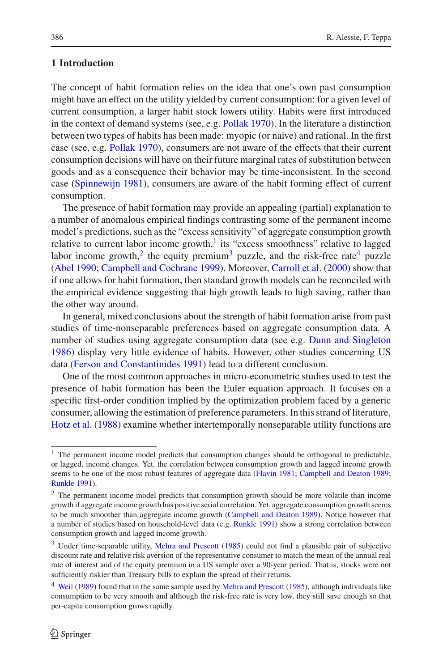# **1 Introduction**

The concept of habit formation relies on the idea that one's own past consumption might have an effect on the utility yielded by current consumption: for a given level of current consumption, a larger habit stock lowers utility. Habits were first introduced in the context of demand systems (see, e.g. [Pollak 1970\)](#page-21-0). In the literature a distinction between two types of habits has been made: myopic (or naive) and rational. In the first case (see, e.g. [Pollak 1970\)](#page-21-0), consumers are not aware of the effects that their current consumption decisions will have on their future marginal rates of substitution between goods and as a consequence their behavior may be time-inconsistent. In the second case [\(Spinnewijn 1981](#page-21-1)), consumers are aware of the habit forming effect of current consumption.

The presence of habit formation may provide an appealing (partial) explanation to a number of anomalous empirical findings contrasting some of the permanent income model's predictions, such as the "excess sensitivity" of aggregate consumption growth relative to current labor income growth, $\frac{1}{1}$  its "excess smoothness" relative to lagged labor income growth,<sup>[2](#page-1-1)</sup> the equity premium<sup>3</sup> puzzle, and the risk-free rate<sup>4</sup> puzzle [\(Abel 1990;](#page-21-2) [Campbell and Cochrane 1999](#page-21-3)). Moreover, [Carroll et al.](#page-21-4) [\(2000\)](#page-21-4) show that if one allows for habit formation, then standard growth models can be reconciled with the empirical evidence suggesting that high growth leads to high saving, rather than the other way around.

In general, mixed conclusions about the strength of habit formation arise from past studies of time-nonseparable preferences based on aggregate consumption data. A number of studies using aggregate consumption data (see e.g. [Dunn and Singleton](#page-21-5) [1986\)](#page-21-5) display very little evidence of habits. However, other studies concerning US data [\(Ferson and Constantinides 1991](#page-21-6)) lead to a different conclusion.

One of the most common approaches in micro-econometric studies used to test the presence of habit formation has been the Euler equation approach. It focuses on a specific first-order condition implied by the optimization problem faced by a generic consumer, allowing the estimation of preference parameters. In this strand of literature, [Hotz et al.](#page-21-7) [\(1988\)](#page-21-7) examine whether intertemporally nonseparable utility functions are

<span id="page-1-0"></span><sup>&</sup>lt;sup>1</sup> The permanent income model predicts that consumption changes should be orthogonal to predictable, or lagged, income changes. Yet, the correlation between consumption growth and lagged income growth seems to be one of the most robust features of aggregate data [\(Flavin 1981;](#page-21-8) [Campbell and Deaton 1989;](#page-21-9) [Runkle 1991\)](#page-21-10).

<span id="page-1-1"></span><sup>&</sup>lt;sup>2</sup> The permanent income model predicts that consumption growth should be more volatile than income growth if aggregate income growth has positive serial correlation. Yet, aggregate consumption growth seems to be much smoother than aggregate income growth [\(Campbell and Deaton 1989](#page-21-9)). Notice however that a number of studies based on household-level data (e.g. [Runkle 1991](#page-21-10)) show a strong correlation between consumption growth and lagged income growth.

<span id="page-1-2"></span><sup>&</sup>lt;sup>3</sup> Under time-separable utility, [Mehra and Prescott](#page-21-11) [\(1985\)](#page-21-11) could not find a plausible pair of subjective discount rate and relative risk aversion of the representative consumer to match the mean of the annual real rate of interest and of the equity premium in a US sample over a 90-year period. That is, stocks were not sufficiently riskier than Treasury bills to explain the spread of their returns.

<span id="page-1-3"></span><sup>&</sup>lt;sup>4</sup> [Weil](#page-22-0) [\(1989](#page-22-0)) found that in the same sample used by [Mehra and Prescott](#page-21-11) [\(1985\)](#page-21-11), although individuals like consumption to be very smooth and although the risk-free rate is very low, they still save enough so that per-capita consumption grows rapidly.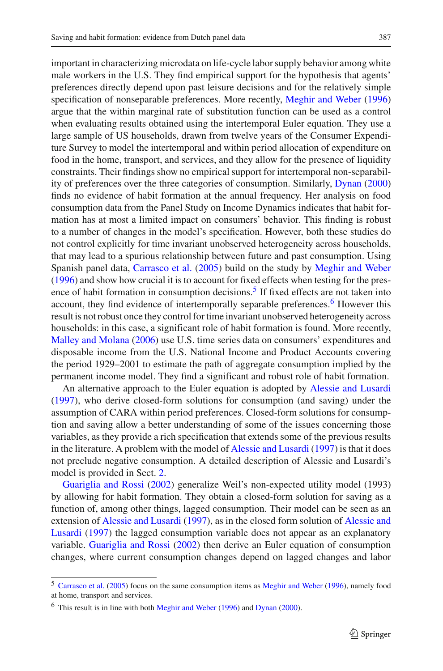important in characterizing microdata on life-cycle labor supply behavior among white male workers in the U.S. They find empirical support for the hypothesis that agents' preferences directly depend upon past leisure decisions and for the relatively simple specification of nonseparable preferences. More recently, [Meghir and Weber](#page-21-12) [\(1996\)](#page-21-12) argue that the within marginal rate of substitution function can be used as a control when evaluating results obtained using the intertemporal Euler equation. They use a large sample of US households, drawn from twelve years of the Consumer Expenditure Survey to model the intertemporal and within period allocation of expenditure on food in the home, transport, and services, and they allow for the presence of liquidity constraints. Their findings show no empirical support for intertemporal non-separability of preferences over the three categories of consumption. Similarly, [Dynan](#page-21-13) [\(2000\)](#page-21-13) finds no evidence of habit formation at the annual frequency. Her analysis on food consumption data from the Panel Study on Income Dynamics indicates that habit formation has at most a limited impact on consumers' behavior. This finding is robust to a number of changes in the model's specification. However, both these studies do not control explicitly for time invariant unobserved heterogeneity across households, that may lead to a spurious relationship between future and past consumption. Using Spanish panel data, [Carrasco et al.](#page-21-14) [\(2005\)](#page-21-14) build on the study by [Meghir and Weber](#page-21-12) [\(1996\)](#page-21-12) and show how crucial it is to account for fixed effects when testing for the pres-ence of habit formation in consumption decisions.<sup>[5](#page-2-0)</sup> If fixed effects are not taken into account, they find evidence of intertemporally separable preferences.<sup>[6](#page-2-1)</sup> However this result is not robust once they control for time invariant unobserved heterogeneity across households: in this case, a significant role of habit formation is found. More recently, [Malley and Molana](#page-21-15) [\(2006](#page-21-15)) use U.S. time series data on consumers' expenditures and disposable income from the U.S. National Income and Product Accounts covering the period 1929–2001 to estimate the path of aggregate consumption implied by the permanent income model. They find a significant and robust role of habit formation.

An alternative approach to the Euler equation is adopted by [Alessie and Lusardi](#page-21-16) [\(1997\)](#page-21-16), who derive closed-form solutions for consumption (and saving) under the assumption of CARA within period preferences. Closed-form solutions for consumption and saving allow a better understanding of some of the issues concerning those variables, as they provide a rich specification that extends some of the previous results in the literature. A problem with the model of [Alessie and Lusardi](#page-21-16) [\(1997](#page-21-16)) is that it does not preclude negative consumption. A detailed description of Alessie and Lusardi's [model](#page-21-17) [is](#page-21-17) [provided](#page-21-17) [in](#page-21-17) [Se](#page-21-17)ct. [2.](#page-3-0)

Guariglia and Rossi [\(2002\)](#page-21-17) generalize Weil's non-expected utility model (1993) by allowing for habit formation. They obtain a closed-form solution for saving as a function of, among other things, lagged consumption. Their model can be seen as an extension of [Alessie and Lusardi](#page-21-16) [\(1997\),](#page-21-16) [as](#page-21-16) [in](#page-21-16) [the](#page-21-16) [closed](#page-21-16) [form](#page-21-16) [solution](#page-21-16) [of](#page-21-16) Alessie and Lusardi [\(1997\)](#page-21-16) the lagged consumption variable does not appear as an explanatory variable. [Guariglia and Rossi](#page-21-17) [\(2002](#page-21-17)) then derive an Euler equation of consumption changes, where current consumption changes depend on lagged changes and labor

<span id="page-2-0"></span><sup>5</sup> [Carrasco et al.](#page-21-14) [\(2005\)](#page-21-14) focus on the same consumption items as [Meghir and Weber](#page-21-12) [\(1996](#page-21-12)), namely food at home, transport and services.

<span id="page-2-1"></span> $6$  This result is in line with both [Meghir and Weber](#page-21-12) [\(1996](#page-21-12)) and [Dynan](#page-21-13) [\(2000](#page-21-13)).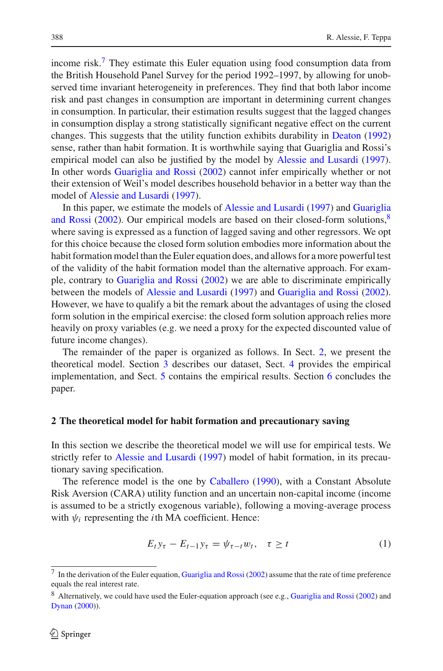income risk.<sup>[7](#page-3-1)</sup> They estimate this Euler equation using food consumption data from the British Household Panel Survey for the period 1992–1997, by allowing for unobserved time invariant heterogeneity in preferences. They find that both labor income risk and past changes in consumption are important in determining current changes in consumption. In particular, their estimation results suggest that the lagged changes in consumption display a strong statistically significant negative effect on the current changes. This suggests that the utility function exhibits durability in [Deaton](#page-21-18) [\(1992\)](#page-21-18) sense, rather than habit formation. It is worthwhile saying that Guariglia and Rossi's empirical model can also be justified by the model by [Alessie and Lusardi](#page-21-16) [\(1997](#page-21-16)). In other words [Guariglia and Rossi](#page-21-17) [\(2002](#page-21-17)) cannot infer empirically whether or not their extension of Weil's model describes household behavior in a better way than the model of [Alessie and Lusardi](#page-21-16) [\(1997\)](#page-21-16).

In this [paper,](#page-21-17) [we](#page-21-17) [estimate](#page-21-17) [the](#page-21-17) [models](#page-21-17) [of](#page-21-17) [Alessie and Lusardi](#page-21-16) [\(1997\)](#page-21-16) and Guariglia and Rossi [\(2002](#page-21-17)). Our empirical models are based on their closed-form solutions, $8$ where saving is expressed as a function of lagged saving and other regressors. We opt for this choice because the closed form solution embodies more information about the habit formation model than the Euler equation does, and allows for a more powerful test of the validity of the habit formation model than the alternative approach. For example, contrary to [Guariglia and Rossi](#page-21-17) [\(2002\)](#page-21-17) we are able to discriminate empirically between the models of [Alessie and Lusardi](#page-21-16) [\(1997\)](#page-21-16) and [Guariglia and Rossi](#page-21-17) [\(2002](#page-21-17)). However, we have to qualify a bit the remark about the advantages of using the closed form solution in the empirical exercise: the closed form solution approach relies more heavily on proxy variables (e.g. we need a proxy for the expected discounted value of future income changes).

The remainder of the paper is organized as follows. In Sect. [2,](#page-3-0) we present the theoretical model. Section [3](#page-7-0) describes our dataset, Sect. [4](#page-11-0) provides the empirical implementation, and Sect. [5](#page-14-0) contains the empirical results. Section [6](#page-20-0) concludes the paper.

### <span id="page-3-0"></span>**2 The theoretical model for habit formation and precautionary saving**

In this section we describe the theoretical model we will use for empirical tests. We strictly refer to [Alessie and Lusardi](#page-21-16) [\(1997](#page-21-16)) model of habit formation, in its precautionary saving specification.

The reference model is the one by [Caballero](#page-21-19) [\(1990](#page-21-19)), with a Constant Absolute Risk Aversion (CARA) utility function and an uncertain non-capital income (income is assumed to be a strictly exogenous variable), following a moving-average process with  $\psi_i$  representing the *i*th MA coefficient. Hence:

$$
E_t y_\tau - E_{t-1} y_\tau = \psi_{\tau - t} w_t, \quad \tau \ge t \tag{1}
$$

<span id="page-3-1"></span><sup>7</sup> In the derivation of the Euler equation, [Guariglia and Rossi](#page-21-17) [\(2002\)](#page-21-17) assume that the rate of time preference equals the real interest rate.

<span id="page-3-2"></span><sup>8</sup> Alternatively, we could have used the Euler-equation approach (see e.g., [Guariglia and Rossi](#page-21-17) [\(2002](#page-21-17)) and [Dynan](#page-21-13) [\(2000\)](#page-21-13)).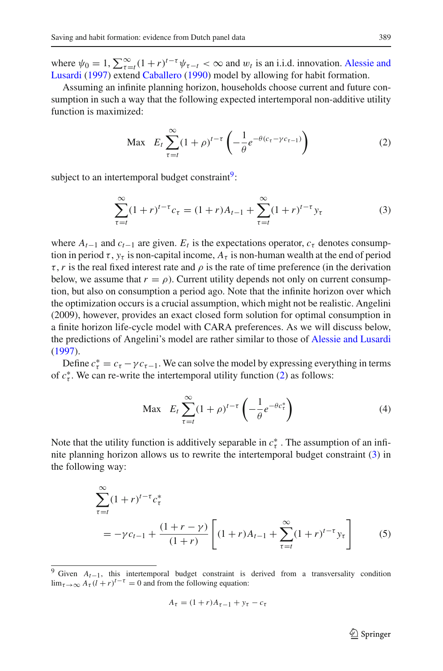where  $\psi_0 = 1$ ,  $\sum_{\tau=t}^{\infty} (1+r)^{t-\tau} \psi_{\tau-t} < \infty$  [an](#page-21-16)d  $w_t$  [is](#page-21-16) an [i.i.d.](#page-21-16) [innovation.](#page-21-16) Alessie and Lusardi [\(1997\)](#page-21-16) extend [Caballero](#page-21-19) [\(1990](#page-21-19)) model by allowing for habit formation.

Assuming an infinite planning horizon, households choose current and future consumption in such a way that the following expected intertemporal non-additive utility function is maximized:

$$
\text{Max } E_t \sum_{\tau=t}^{\infty} (1+\rho)^{t-\tau} \left( -\frac{1}{\theta} e^{-\theta (c_\tau - \gamma c_{\tau-1})} \right) \tag{2}
$$

<span id="page-4-2"></span><span id="page-4-1"></span>subject to an intertemporal budget constraint $9$ :

$$
\sum_{\tau=t}^{\infty} (1+r)^{t-\tau} c_{\tau} = (1+r)A_{t-1} + \sum_{\tau=t}^{\infty} (1+r)^{t-\tau} y_{\tau}
$$
(3)

where  $A_{t-1}$  and  $c_{t-1}$  are given.  $E_t$  is the expectations operator,  $c_{\tau}$  denotes consumption in period  $\tau$ ,  $y_{\tau}$  is non-capital income,  $A_{\tau}$  is non-human wealth at the end of period  $\tau$ , r is the real fixed interest rate and  $\rho$  is the rate of time preference (in the derivation below, we assume that  $r = \rho$ ). Current utility depends not only on current consumption, but also on consumption a period ago. Note that the infinite horizon over which the optimization occurs is a crucial assumption, which might not be realistic. Angelini (2009), however, provides an exact closed form solution for optimal consumption in a finite horizon life-cycle model with CARA preferences. As we will discuss below, the predictions of Angelini's model are rather similar to those of [Alessie and Lusardi](#page-21-16) [\(1997\)](#page-21-16).

Define  $c^*_{\tau} = c_{\tau} - \gamma c_{\tau-1}$ . We can solve the model by expressing everything in terms of  $c_{\tau}^*$ . We can re-write the intertemporal utility function [\(2\)](#page-4-1) as follows:

$$
\text{Max } E_t \sum_{\tau=t}^{\infty} (1+\rho)^{t-\tau} \left( -\frac{1}{\theta} e^{-\theta c_{\tau}^{*}} \right) \tag{4}
$$

Note that the utility function is additively separable in  $c_{\tau}^*$ . The assumption of an infinite planning horizon allows us to rewrite the intertemporal budget constraint [\(3\)](#page-4-2) in the following way:

$$
\sum_{\tau=t}^{\infty} (1+r)^{t-\tau} c_{\tau}^{*}
$$
\n
$$
= -\gamma c_{t-1} + \frac{(1+r-\gamma)}{(1+r)} \left[ (1+r)A_{t-1} + \sum_{\tau=t}^{\infty} (1+r)^{t-\tau} y_{\tau} \right]
$$
\n(5)

$$
A_{\tau} = (1+r)A_{\tau-1} + y_{\tau} - c_{\tau}
$$

<span id="page-4-0"></span><sup>9</sup> Given *At*−1, this intertemporal budget constraint is derived from a transversality condition  $\lim_{\tau \to \infty} A_{\tau} (l + r)^{t - \tau} = 0$  and from the following equation: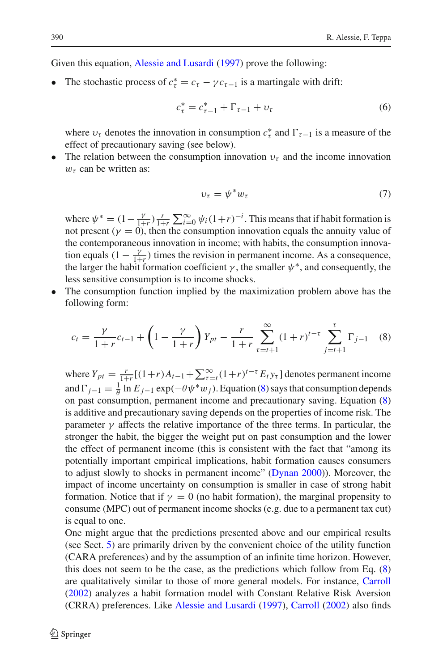Given this equation, [Alessie and Lusardi](#page-21-16) [\(1997](#page-21-16)) prove the following:

• The stochastic process of  $c^*_{\tau} = c_{\tau} - \gamma c_{\tau-1}$  is a martingale with drift:

$$
c_{\tau}^* = c_{\tau-1}^* + \Gamma_{\tau-1} + \nu_{\tau}
$$
 (6)

where  $v_{\tau}$  denotes the innovation in consumption  $c_{\tau}^{*}$  and  $\Gamma_{\tau-1}$  is a measure of the effect of precautionary saving (see below).

• The relation between the consumption innovation  $v<sub>\tau</sub>$  and the income innovation  $w<sub>\tau</sub>$  can be written as:

$$
\upsilon_{\tau} = \psi^* w_{\tau} \tag{7}
$$

where  $\psi^* = (1 - \frac{\gamma}{1+r}) \frac{r}{1+r} \sum_{i=0}^{\infty} \psi_i (1+r)^{-i}$ . This means that if habit formation is not present ( $\gamma = 0$ ), then the consumption innovation equals the annuity value of the contemporaneous innovation in income; with habits, the consumption innovation equals  $(1 - \frac{\gamma}{1+r})$  times the revision in permanent income. As a consequence, the larger the habit formation coefficient  $\gamma$ , the smaller  $\psi^*$ , and consequently, the less sensitive consumption is to income shocks.

<span id="page-5-0"></span>• The consumption function implied by the maximization problem above has the following form:

$$
c_t = \frac{\gamma}{1+r}c_{t-1} + \left(1 - \frac{\gamma}{1+r}\right)Y_{pt} - \frac{r}{1+r} \sum_{\tau=t+1}^{\infty} (1+r)^{t-\tau} \sum_{j=t+1}^{\tau} \Gamma_{j-1} \quad (8)
$$

where  $Y_{pt} = \frac{r}{1+r}[(1+r)A_{t-1} + \sum_{\tau=t}^{\infty} (1+r)^{t-\tau} E_t y_{\tau}]$  denotes permanent income and  $\Gamma_{j-1} = \frac{1}{\theta} \ln E_{j-1} \exp(-\theta \psi^* w_j)$ . Equation [\(8\)](#page-5-0) says that consumption depends on past consumption, permanent income and precautionary saving. Equation [\(8\)](#page-5-0) is additive and precautionary saving depends on the properties of income risk. The parameter  $\gamma$  affects the relative importance of the three terms. In particular, the stronger the habit, the bigger the weight put on past consumption and the lower the effect of permanent income (this is consistent with the fact that "among its potentially important empirical implications, habit formation causes consumers to adjust slowly to shocks in permanent income" [\(Dynan 2000](#page-21-13))). Moreover, the impact of income uncertainty on consumption is smaller in case of strong habit formation. Notice that if  $\gamma = 0$  (no habit formation), the marginal propensity to consume (MPC) out of permanent income shocks (e.g. due to a permanent tax cut) is equal to one.

One might argue that the predictions presented above and our empirical results (see Sect. [5\)](#page-14-0) are primarily driven by the convenient choice of the utility function (CARA preferences) and by the assumption of an infinite time horizon. However, this does not seem to be the case, as the predictions which follow from Eq. [\(8\)](#page-5-0) are qualitatively similar to those of more general models. For instance, [Carroll](#page-21-20) [\(2002\)](#page-21-20) analyzes a habit formation model with Constant Relative Risk Aversion (CRRA) preferences. Like [Alessie and Lusardi](#page-21-16) [\(1997](#page-21-16)), [Carroll](#page-21-20) [\(2002](#page-21-20)) also finds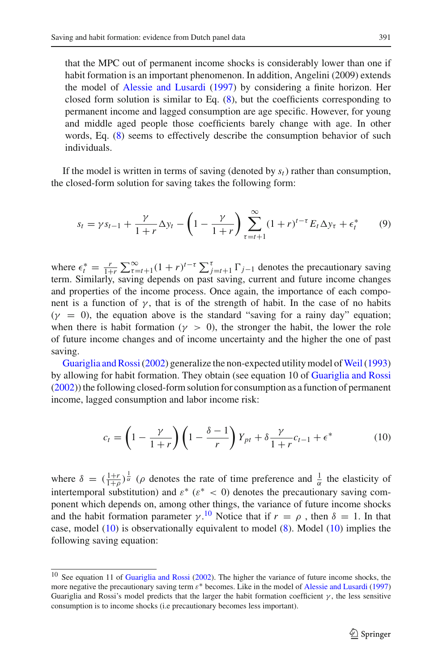that the MPC out of permanent income shocks is considerably lower than one if habit formation is an important phenomenon. In addition, Angelini (2009) extends the model of [Alessie and Lusardi](#page-21-16) [\(1997](#page-21-16)) by considering a finite horizon. Her closed form solution is similar to Eq. [\(8\)](#page-5-0), but the coefficients corresponding to permanent income and lagged consumption are age specific. However, for young and middle aged people those coefficients barely change with age. In other words, Eq. [\(8\)](#page-5-0) seems to effectively describe the consumption behavior of such individuals.

If the model is written in terms of saving (denoted by  $s_t$ ) rather than consumption, the closed-form solution for saving takes the following form:

$$
s_t = \gamma s_{t-1} + \frac{\gamma}{1+r} \Delta y_t - \left(1 - \frac{\gamma}{1+r}\right) \sum_{\tau=t+1}^{\infty} (1+r)^{t-\tau} E_t \Delta y_\tau + \epsilon_t^* \tag{9}
$$

<span id="page-6-2"></span>where  $\epsilon_i^* = \frac{r}{1+r} \sum_{\tau=t+1}^{\infty} (1+r)^{t-\tau} \sum_{j=t+1}^{\tau} \Gamma_{j-1}$  denotes the precautionary saving term. Similarly, saving depends on past saving, current and future income changes and properties of the income process. Once again, the importance of each component is a function of  $\gamma$ , that is of the strength of habit. In the case of no habits  $(y = 0)$ , the equation above is the standard "saving for a rainy day" equation; when there is habit formation ( $\gamma > 0$ ), the stronger the habit, the lower the role of future income changes and of income uncertainty and the higher the one of past [saving.](#page-21-17)

Guariglia and Rossi [\(2002\)](#page-21-17) generalize the non-expected utility model of Weil (1993) by allowing for habit formation. They obtain (see equation 10 of [Guariglia and Rossi](#page-21-17) [\(2002\)](#page-21-17)) the following closed-form solution for consumption as a function of permanent income, lagged consumption and labor income risk:

$$
c_t = \left(1 - \frac{\gamma}{1+r}\right)\left(1 - \frac{\delta - 1}{r}\right)Y_{pt} + \delta\frac{\gamma}{1+r}c_{t-1} + \epsilon^*
$$
(10)

<span id="page-6-1"></span>where  $\delta = (\frac{1+r}{1+\rho})^{\frac{1}{\alpha}}$  ( $\rho$  denotes the rate of time preference and  $\frac{1}{\alpha}$  the elasticity of intertemporal substitution) and  $\varepsilon^*$  ( $\varepsilon^*$  < 0) denotes the precautionary saving component which depends on, among other things, the variance of future income shocks and the habit formation parameter  $\gamma$ .<sup>[10](#page-6-0)</sup> Notice that if  $r = \rho$ , then  $\delta = 1$ . In that case, model  $(10)$  is observationally equivalent to model  $(8)$ . Model  $(10)$  implies the following saving equation:

<span id="page-6-0"></span><sup>&</sup>lt;sup>10</sup> See equation 11 of [Guariglia and Rossi](#page-21-17) [\(2002\)](#page-21-17). The higher the variance of future income shocks, the more negative the precautionary saving term  $\varepsilon^*$  becomes. Like in the model of [Alessie and Lusardi](#page-21-16) [\(1997](#page-21-16)) Guariglia and Rossi's model predicts that the larger the habit formation coefficient  $\gamma$ , the less sensitive consumption is to income shocks (i.e precautionary becomes less important).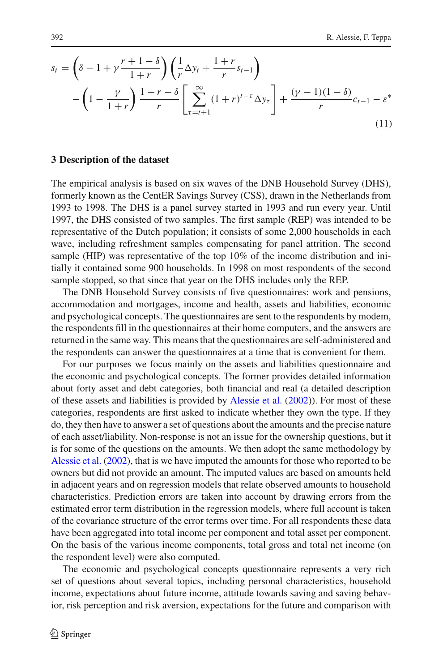<span id="page-7-1"></span>
$$
s_{t} = \left(\delta - 1 + \gamma \frac{r+1-\delta}{1+r}\right) \left(\frac{1}{r}\Delta y_{t} + \frac{1+r}{r} s_{t-1}\right)
$$

$$
- \left(1 - \frac{\gamma}{1+r}\right) \frac{1+r-\delta}{r} \left[\sum_{\tau=t+1}^{\infty} (1+r)^{t-\tau} \Delta y_{\tau}\right] + \frac{(\gamma-1)(1-\delta)}{r} c_{t-1} - \varepsilon^{*} \tag{11}
$$

#### <span id="page-7-0"></span>**3 Description of the dataset**

The empirical analysis is based on six waves of the DNB Household Survey (DHS), formerly known as the CentER Savings Survey (CSS), drawn in the Netherlands from 1993 to 1998. The DHS is a panel survey started in 1993 and run every year. Until 1997, the DHS consisted of two samples. The first sample (REP) was intended to be representative of the Dutch population; it consists of some 2,000 households in each wave, including refreshment samples compensating for panel attrition. The second sample (HIP) was representative of the top 10% of the income distribution and initially it contained some 900 households. In 1998 on most respondents of the second sample stopped, so that since that year on the DHS includes only the REP.

The DNB Household Survey consists of five questionnaires: work and pensions, accommodation and mortgages, income and health, assets and liabilities, economic and psychological concepts. The questionnaires are sent to the respondents by modem, the respondents fill in the questionnaires at their home computers, and the answers are returned in the same way. This means that the questionnaires are self-administered and the respondents can answer the questionnaires at a time that is convenient for them.

For our purposes we focus mainly on the assets and liabilities questionnaire and the economic and psychological concepts. The former provides detailed information about forty asset and debt categories, both financial and real (a detailed description of these assets and liabilities is provided by [Alessie et al.](#page-21-21) [\(2002](#page-21-21))). For most of these categories, respondents are first asked to indicate whether they own the type. If they do, they then have to answer a set of questions about the amounts and the precise nature of each asset/liability. Non-response is not an issue for the ownership questions, but it is for some of the questions on the amounts. We then adopt the same methodology by [Alessie et al.](#page-21-21) [\(2002](#page-21-21)), that is we have imputed the amounts for those who reported to be owners but did not provide an amount. The imputed values are based on amounts held in adjacent years and on regression models that relate observed amounts to household characteristics. Prediction errors are taken into account by drawing errors from the estimated error term distribution in the regression models, where full account is taken of the covariance structure of the error terms over time. For all respondents these data have been aggregated into total income per component and total asset per component. On the basis of the various income components, total gross and total net income (on the respondent level) were also computed.

The economic and psychological concepts questionnaire represents a very rich set of questions about several topics, including personal characteristics, household income, expectations about future income, attitude towards saving and saving behavior, risk perception and risk aversion, expectations for the future and comparison with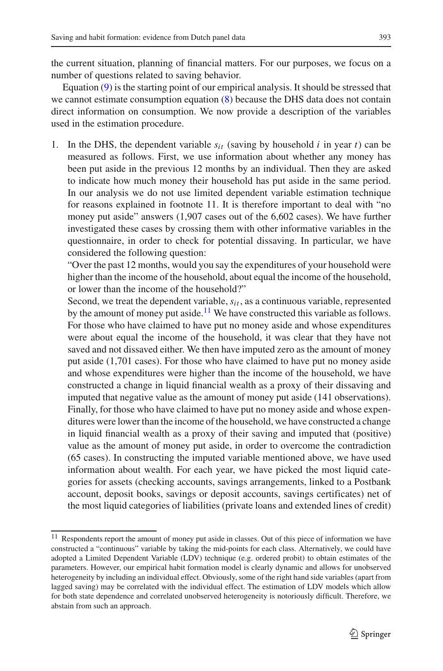the current situation, planning of financial matters. For our purposes, we focus on a number of questions related to saving behavior.

Equation [\(9\)](#page-6-2) is the starting point of our empirical analysis. It should be stressed that we cannot estimate consumption equation [\(8\)](#page-5-0) because the DHS data does not contain direct information on consumption. We now provide a description of the variables used in the estimation procedure.

1. In the DHS, the dependent variable  $s_{it}$  (saving by household *i* in year *t*) can be measured as follows. First, we use information about whether any money has been put aside in the previous 12 months by an individual. Then they are asked to indicate how much money their household has put aside in the same period. In our analysis we do not use limited dependent variable estimation technique for reasons explained in footnote 11. It is therefore important to deal with "no money put aside" answers (1,907 cases out of the 6,602 cases). We have further investigated these cases by crossing them with other informative variables in the questionnaire, in order to check for potential dissaving. In particular, we have considered the following question:

"Over the past 12 months, would you say the expenditures of your household were higher than the income of the household, about equal the income of the household, or lower than the income of the household?"

Second, we treat the dependent variable,  $s_{it}$ , as a continuous variable, represented by the amount of money put aside.<sup>[11](#page-8-0)</sup> We have constructed this variable as follows. For those who have claimed to have put no money aside and whose expenditures were about equal the income of the household, it was clear that they have not saved and not dissaved either. We then have imputed zero as the amount of money put aside (1,701 cases). For those who have claimed to have put no money aside and whose expenditures were higher than the income of the household, we have constructed a change in liquid financial wealth as a proxy of their dissaving and imputed that negative value as the amount of money put aside (141 observations). Finally, for those who have claimed to have put no money aside and whose expenditures were lower than the income of the household, we have constructed a change in liquid financial wealth as a proxy of their saving and imputed that (positive) value as the amount of money put aside, in order to overcome the contradiction (65 cases). In constructing the imputed variable mentioned above, we have used information about wealth. For each year, we have picked the most liquid categories for assets (checking accounts, savings arrangements, linked to a Postbank account, deposit books, savings or deposit accounts, savings certificates) net of the most liquid categories of liabilities (private loans and extended lines of credit)

<span id="page-8-0"></span> $11$  Respondents report the amount of money put aside in classes. Out of this piece of information we have constructed a "continuous" variable by taking the mid-points for each class. Alternatively, we could have adopted a Limited Dependent Variable (LDV) technique (e.g. ordered probit) to obtain estimates of the parameters. However, our empirical habit formation model is clearly dynamic and allows for unobserved heterogeneity by including an individual effect. Obviously, some of the right hand side variables (apart from lagged saving) may be correlated with the individual effect. The estimation of LDV models which allow for both state dependence and correlated unobserved heterogeneity is notoriously difficult. Therefore, we abstain from such an approach.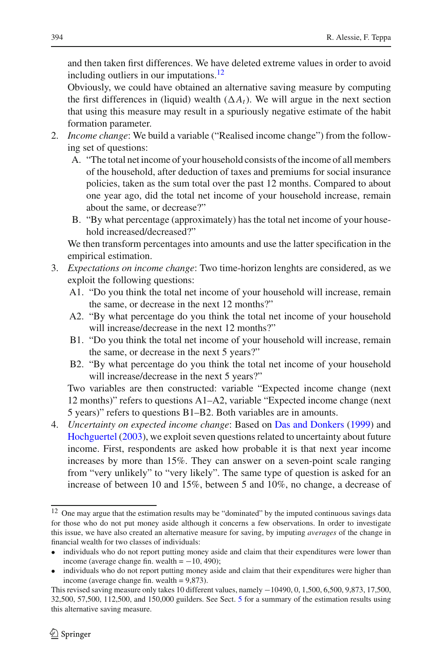and then taken first differences. We have deleted extreme values in order to avoid including outliers in our imputations.<sup>12</sup>

Obviously, we could have obtained an alternative saving measure by computing the first differences in (liquid) wealth  $(\Delta A_t)$ . We will argue in the next section that using this measure may result in a spuriously negative estimate of the habit formation parameter.

- 2. *Income change*: We build a variable ("Realised income change") from the following set of questions:
	- A. "The total net income of your household consists of the income of all members of the household, after deduction of taxes and premiums for social insurance policies, taken as the sum total over the past 12 months. Compared to about one year ago, did the total net income of your household increase, remain about the same, or decrease?"
	- B. "By what percentage (approximately) has the total net income of your household increased/decreased?"

We then transform percentages into amounts and use the latter specification in the empirical estimation.

- 3. *Expectations on income change*: Two time-horizon lenghts are considered, as we exploit the following questions:
	- A1. "Do you think the total net income of your household will increase, remain the same, or decrease in the next 12 months?"
	- A2. "By what percentage do you think the total net income of your household will increase/decrease in the next 12 months?"
	- B1. "Do you think the total net income of your household will increase, remain the same, or decrease in the next 5 years?"
	- B2. "By what percentage do you think the total net income of your household will increase/decrease in the next 5 years?"

Two variables are then constructed: variable "Expected income change (next 12 months)" refers to questions A1–A2, variable "Expected income change (next 5 years)" refers to questions B1–B2. Both variables are in amounts.

4. *Uncertainty on expected income change*: Based on [Das and Donkers](#page-21-22) [\(1999\)](#page-21-22) and [Hochguertel](#page-21-23) [\(2003](#page-21-23)), we exploit seven questions related to uncertainty about future income. First, respondents are asked how probable it is that next year income increases by more than 15%. They can answer on a seven-point scale ranging from "very unlikely" to "very likely". The same type of question is asked for an increase of between 10 and 15%, between 5 and 10%, no change, a decrease of

<span id="page-9-0"></span><sup>12</sup> One may argue that the estimation results may be "dominated" by the imputed continuous savings data for those who do not put money aside although it concerns a few observations. In order to investigate this issue, we have also created an alternative measure for saving, by imputing *averages* of the change in financial wealth for two classes of individuals:

<sup>•</sup> individuals who do not report putting money aside and claim that their expenditures were lower than income (average change fin. wealth =  $-10, 490$ );

<sup>•</sup> individuals who do not report putting money aside and claim that their expenditures were higher than income (average change fin. wealth = 9,873).

This revised saving measure only takes 10 different values, namely −10490, 0, 1,500, 6,500, 9,873, 17,500, 32,500, 57,500, 112,500, and 150,000 guilders. See Sect. [5](#page-14-0) for a summary of the estimation results using this alternative saving measure.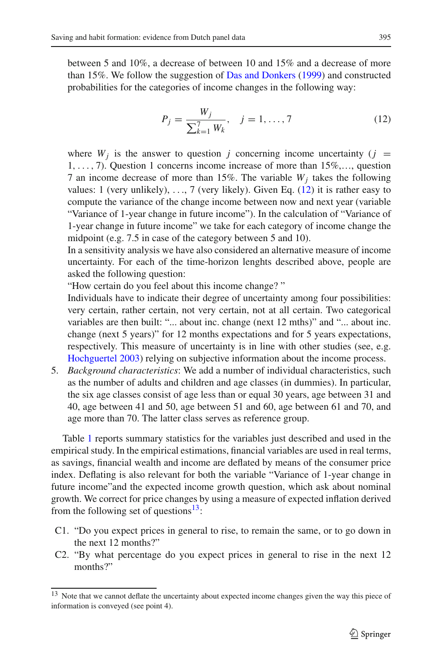between 5 and 10%, a decrease of between 10 and 15% and a decrease of more than 15%. We follow the suggestion of [Das and Donkers](#page-21-22) [\(1999](#page-21-22)) and constructed probabilities for the categories of income changes in the following way:

$$
P_j = \frac{W_j}{\sum_{k=1}^7 W_k}, \quad j = 1, ..., 7
$$
 (12)

<span id="page-10-0"></span>where  $W_j$  is the answer to question *j* concerning income uncertainty (*j* = 1,..., 7). Question 1 concerns income increase of more than 15%,…, question 7 an income decrease of more than 15%. The variable  $W_i$  takes the following values: 1 (very unlikely), ..., 7 (very likely). Given Eq.  $(12)$  it is rather easy to compute the variance of the change income between now and next year (variable "Variance of 1-year change in future income"). In the calculation of "Variance of 1-year change in future income" we take for each category of income change the midpoint (e.g. 7.5 in case of the category between 5 and 10).

In a sensitivity analysis we have also considered an alternative measure of income uncertainty. For each of the time-horizon lenghts described above, people are asked the following question:

"How certain do you feel about this income change? "

Individuals have to indicate their degree of uncertainty among four possibilities: very certain, rather certain, not very certain, not at all certain. Two categorical variables are then built: "... about inc. change (next 12 mths)" and "... about inc. change (next 5 years)" for 12 months expectations and for 5 years expectations, respectively. This measure of uncertainty is in line with other studies (see, e.g. [Hochguertel 2003\)](#page-21-23) relying on subjective information about the income process.

5. *Background characteristics*: We add a number of individual characteristics, such as the number of adults and children and age classes (in dummies). In particular, the six age classes consist of age less than or equal 30 years, age between 31 and 40, age between 41 and 50, age between 51 and 60, age between 61 and 70, and age more than 70. The latter class serves as reference group.

Table [1](#page-11-1) reports summary statistics for the variables just described and used in the empirical study. In the empirical estimations, financial variables are used in real terms, as savings, financial wealth and income are deflated by means of the consumer price index. Deflating is also relevant for both the variable "Variance of 1-year change in future income"and the expected income growth question, which ask about nominal growth. We correct for price changes by using a measure of expected inflation derived from the following set of questions<sup>[13](#page-10-1)</sup>:

- C1. "Do you expect prices in general to rise, to remain the same, or to go down in the next 12 months?"
- C2. "By what percentage do you expect prices in general to rise in the next 12 months?"

<span id="page-10-1"></span><sup>&</sup>lt;sup>13</sup> Note that we cannot deflate the uncertainty about expected income changes given the way this piece of information is conveyed (see point 4).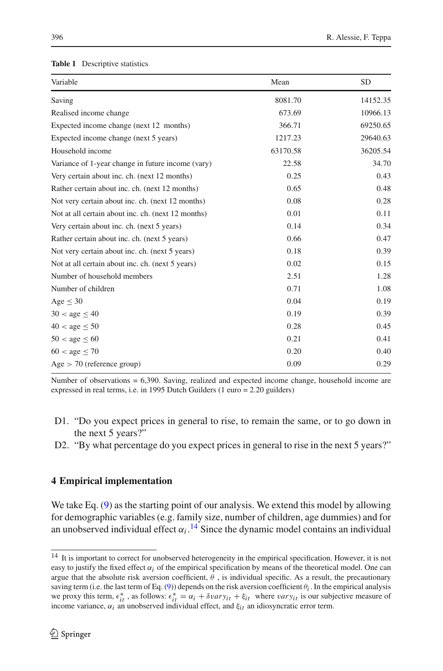| <b>Table 1</b> Descriptive statistics |  |  |
|---------------------------------------|--|--|
|---------------------------------------|--|--|

<span id="page-11-1"></span>

| Variable                                           | Mean     | <b>SD</b> |
|----------------------------------------------------|----------|-----------|
| Saving                                             | 8081.70  | 14152.35  |
| Realised income change                             | 673.69   | 10966.13  |
| Expected income change (next 12 months)            | 366.71   | 69250.65  |
| Expected income change (next 5 years)              | 1217.23  | 29640.63  |
| Household income                                   | 63170.58 | 36205.54  |
| Variance of 1-year change in future income (vary)  | 22.58    | 34.70     |
| Very certain about inc. ch. (next 12 months)       | 0.25     | 0.43      |
| Rather certain about inc. ch. (next 12 months)     | 0.65     | 0.48      |
| Not very certain about inc. ch. (next 12 months)   | 0.08     | 0.28      |
| Not at all certain about inc. ch. (next 12 months) | 0.01     | 0.11      |
| Very certain about inc. ch. (next 5 years)         | 0.14     | 0.34      |
| Rather certain about inc. ch. (next 5 years)       | 0.66     | 0.47      |
| Not very certain about inc. ch. (next 5 years)     | 0.18     | 0.39      |
| Not at all certain about inc. ch. (next 5 years)   | 0.02     | 0.15      |
| Number of household members                        | 2.51     | 1.28      |
| Number of children                                 | 0.71     | 1.08      |
| Age $\leq$ 30                                      | 0.04     | 0.19      |
| $30 < \text{age} < 40$                             | 0.19     | 0.39      |
| $40 <$ age $\leq 50$                               | 0.28     | 0.45      |
| $50 < \text{age} < 60$                             | 0.21     | 0.41      |
| $60 < \text{age} < 70$                             | 0.20     | 0.40      |
| Age $>$ 70 (reference group)                       | 0.09     | 0.29      |
|                                                    |          |           |

Number of observations  $= 6,390$ . Saving, realized and expected income change, household income are expressed in real terms, i.e. in 1995 Dutch Guilders (1 euro = 2.20 guilders)

- D1. "Do you expect prices in general to rise, to remain the same, or to go down in the next 5 years?"
- D2. "By what percentage do you expect prices in general to rise in the next 5 years?"

# <span id="page-11-0"></span>**4 Empirical implementation**

We take Eq. [\(9\)](#page-6-2) as the starting point of our analysis. We extend this model by allowing for demographic variables (e.g. family size, number of children, age dummies) and for an unobserved individual effect  $\alpha_i$ .<sup>[14](#page-11-2)</sup> Since the dynamic model contains an individual

<span id="page-11-2"></span><sup>&</sup>lt;sup>14</sup> It is important to correct for unobserved heterogeneity in the empirical specification. However, it is not easy to justify the fixed effect  $\alpha_i$  of the empirical specification by means of the theoretical model. One can argue that the absolute risk aversion coefficient,  $\theta$ , is individual specific. As a result, the precautionary saving term (i.e. the last term of Eq. [\(9\)](#page-6-2)) depends on the risk aversion coefficient  $\theta_i$ . In the empirical analysis we proxy this term,  $\epsilon_{it}^*$ , as follows:  $\epsilon_{it}^* = \alpha_i + \delta var_{it} + \xi_{it}$  where  $var_{it}$  is our subjective measure of income variance,  $\alpha_i$  an unobserved individual effect, and  $\xi_{it}$  an idiosyncratic error term.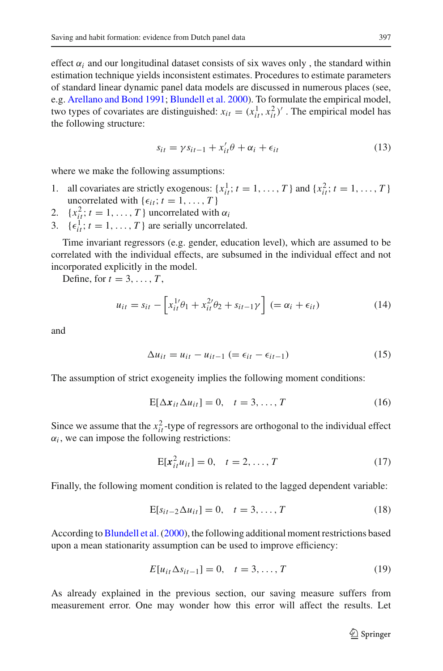effect  $\alpha_i$  and our longitudinal dataset consists of six waves only, the standard within estimation technique yields inconsistent estimates. Procedures to estimate parameters of standard linear dynamic panel data models are discussed in numerous places (see, e.g. [Arellano and Bond 1991;](#page-21-24) [Blundell et al. 2000\)](#page-21-25). To formulate the empirical model, two types of covariates are distinguished:  $x_{it} = (x_{it}^1, x_{it}^2)'$ . The empirical model has the following structure:

$$
s_{it} = \gamma s_{it-1} + x_{it}' \theta + \alpha_i + \epsilon_{it}
$$
\n(13)

<span id="page-12-4"></span>where we make the following assumptions:

- 1. all covariates are strictly exogenous:  $\{x_{it}^1; t = 1, \ldots, T\}$  and  $\{x_{it}^2; t = 1, \ldots, T\}$ uncorrelated with  $\{\epsilon_{it}; t = 1, \ldots, T\}$
- 2.  $\{x_i^2; t = 1, \ldots, T\}$  uncorrelated with  $\alpha_i$
- 3.  $\{\epsilon_{it}^1; t = 1, \ldots, T\}$  are serially uncorrelated.

Time invariant regressors (e.g. gender, education level), which are assumed to be correlated with the individual effects, are subsumed in the individual effect and not incorporated explicitly in the model.

Define, for  $t = 3, \ldots, T$ ,

$$
u_{it} = s_{it} - \left[x_{it}^{1\prime}\theta_1 + x_{it}^{2\prime}\theta_2 + s_{it-1}\gamma\right] (= \alpha_i + \epsilon_{it})
$$
 (14)

and

$$
\Delta u_{it} = u_{it} - u_{it-1} (= \epsilon_{it} - \epsilon_{it-1})
$$
\n(15)

<span id="page-12-0"></span>The assumption of strict exogeneity implies the following moment conditions:

$$
E[\Delta x_{it} \Delta u_{it}] = 0, \quad t = 3, \dots, T
$$
 (16)

Since we assume that the  $x<sub>it</sub><sup>2</sup>$ -type of regressors are orthogonal to the individual effect  $\alpha_i$ , we can impose the following restrictions:

$$
E[x_{it}^{2}u_{it}] = 0, \quad t = 2, ..., T
$$
 (17)

<span id="page-12-2"></span><span id="page-12-1"></span>Finally, the following moment condition is related to the lagged dependent variable:

$$
E[s_{it-2}\Delta u_{it}] = 0, \quad t = 3, ..., T
$$
 (18)

According to Blundell et al. (2000), the following additional moment restrictions based upon a mean stationarity assumption can be used to improve efficiency:

$$
E[u_{it}\Delta s_{it-1}] = 0, \quad t = 3, ..., T
$$
 (19)

<span id="page-12-3"></span>As already explained in the previous section, our saving measure suffers from measurement error. One may wonder how this error will affect the results. Let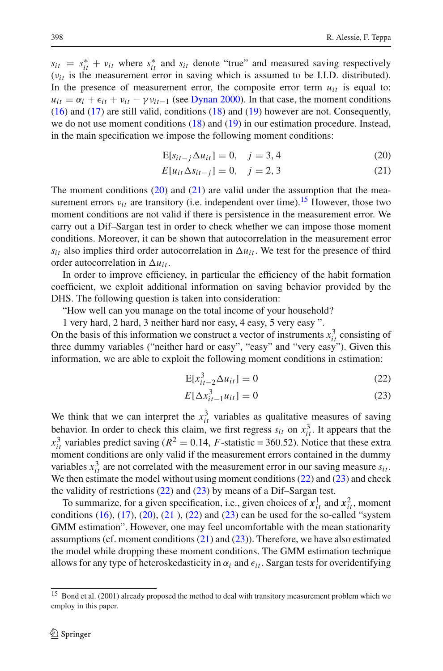$s_{it} = s_{it}^* + v_{it}$  where  $s_{it}^*$  and  $s_{it}$  denote "true" and measured saving respectively  $(v_{it}$  is the measurement error in saving which is assumed to be I.I.D. distributed). In the presence of measurement error, the composite error term  $u_{it}$  is equal to:  $u_{it} = \alpha_i + \epsilon_{it} + v_{it} - \gamma v_{it-1}$  (see [Dynan 2000](#page-21-13)). In that case, the moment conditions [\(16\)](#page-12-0) and [\(17\)](#page-12-1) are still valid, conditions [\(18\)](#page-12-2) and [\(19\)](#page-12-3) however are not. Consequently, we do not use moment conditions [\(18\)](#page-12-2) and [\(19\)](#page-12-3) in our estimation procedure. Instead, in the main specification we impose the following moment conditions:

$$
E[s_{it-j}\Delta u_{it}] = 0, \quad j = 3, 4
$$
 (20)

$$
E[u_{it}\Delta s_{it-j}] = 0, \quad j = 2, 3
$$
 (21)

<span id="page-13-0"></span>The moment conditions  $(20)$  and  $(21)$  are valid under the assumption that the measurement errors  $v_{it}$  are transitory (i.e. independent over time).<sup>15</sup> However, those two moment conditions are not valid if there is persistence in the measurement error. We carry out a Dif–Sargan test in order to check whether we can impose those moment conditions. Moreover, it can be shown that autocorrelation in the measurement error  $s_{it}$  also implies third order autocorrelation in  $\Delta u_{it}$ . We test for the presence of third order autocorrelation in  $\Delta u_{it}$ .

In order to improve efficiency, in particular the efficiency of the habit formation coefficient, we exploit additional information on saving behavior provided by the DHS. The following question is taken into consideration:

"How well can you manage on the total income of your household?

1 very hard, 2 hard, 3 neither hard nor easy, 4 easy, 5 very easy ". On the basis of this information we construct a vector of instruments  $x_{it}^3$  consisting of three dummy variables ("neither hard or easy", "easy" and "very easy"). Given this information, we are able to exploit the following moment conditions in estimation:

<span id="page-13-2"></span>
$$
E[x_{it-2}^3 \Delta u_{it}] = 0 \tag{22}
$$

$$
E[\Delta x_{it-1}^3 u_{it}] = 0 \tag{23}
$$

We think that we can interpret the  $x<sub>it</sub><sup>3</sup>$  variables as qualitative measures of saving behavior. In order to check this claim, we first regress  $s_{it}$  on  $x_{it}^3$ . It appears that the  $x_{it}^3$  variables predict saving ( $R^2 = 0.14$ , *F*-statistic = 360.52). Notice that these extra moment conditions are only valid if the measurement errors contained in the dummy variables  $x_{it}^3$  are not correlated with the measurement error in our saving measure  $s_{it}$ . We then estimate the model without using moment conditions  $(22)$  and  $(23)$  and check the validity of restrictions [\(22\)](#page-13-2) and [\(23\)](#page-13-2) by means of a Dif–Sargan test.

To summarize, for a given specification, i.e., given choices of  $x<sub>it</sub><sup>1</sup>$  and  $x<sub>it</sub><sup>2</sup>$ , moment conditions  $(16)$ ,  $(17)$ ,  $(20)$ ,  $(21)$  $(21)$ ,  $(22)$  and  $(23)$  can be used for the so-called "system" GMM estimation". However, one may feel uncomfortable with the mean stationarity assumptions (cf. moment conditions [\(21\)](#page-13-0) and [\(23\)](#page-13-2)). Therefore, we have also estimated the model while dropping these moment conditions. The GMM estimation technique allows for any type of heteroskedasticity in  $\alpha_i$  and  $\epsilon_{it}$ . Sargan tests for overidentifying

<span id="page-13-1"></span><sup>&</sup>lt;sup>15</sup> Bond et al. (2001) already proposed the method to deal with transitory measurement problem which we employ in this paper.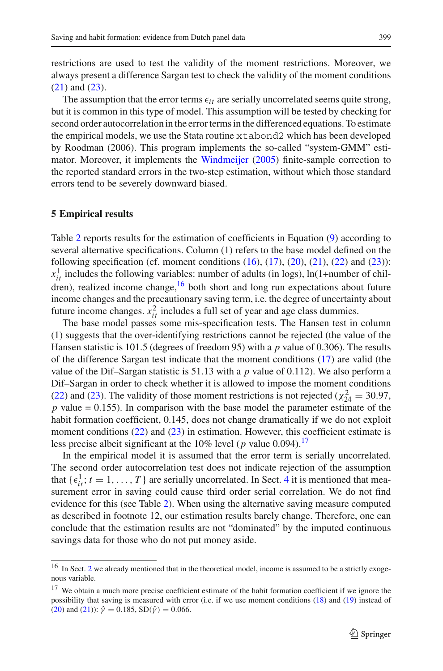restrictions are used to test the validity of the moment restrictions. Moreover, we always present a difference Sargan test to check the validity of the moment conditions [\(21\)](#page-13-0) and [\(23\)](#page-13-2).

The assumption that the error terms  $\epsilon_{it}$  are serially uncorrelated seems quite strong, but it is common in this type of model. This assumption will be tested by checking for second order autocorrelation in the error terms in the differenced equations. To estimate the empirical models, we use the Stata routine xtabond2 which has been developed by Roodman (2006). This program implements the so-called "system-GMM" estimator. Moreover, it implements the [Windmeijer](#page-22-2) [\(2005\)](#page-22-2) finite-sample correction to the reported standard errors in the two-step estimation, without which those standard errors tend to be severely downward biased.

### <span id="page-14-0"></span>**5 Empirical results**

Table [2](#page-15-0) reports results for the estimation of coefficients in Equation [\(9\)](#page-6-2) according to several alternative specifications. Column (1) refers to the base model defined on the following specification (cf. moment conditions  $(16)$ ,  $(17)$ ,  $(20)$ ,  $(21)$ ,  $(22)$  and  $(23)$ ):  $x_{it}^1$  includes the following variables: number of adults (in logs), ln(1+number of chil- $\ddot{d}$  dren), realized income change,  $^{16}$  $^{16}$  $^{16}$  both short and long run expectations about future income changes and the precautionary saving term, i.e. the degree of uncertainty about future income changes.  $x_{it}^2$  includes a full set of year and age class dummies.

The base model passes some mis-specification tests. The Hansen test in column (1) suggests that the over-identifying restrictions cannot be rejected (the value of the Hansen statistic is 101.5 (degrees of freedom 95) with a *p* value of 0.306). The results of the difference Sargan test indicate that the moment conditions [\(17\)](#page-12-1) are valid (the value of the Dif–Sargan statistic is 51.13 with a *p* value of 0.112). We also perform a Dif–Sargan in order to check whether it is allowed to impose the moment conditions [\(22\)](#page-13-2) and [\(23\)](#page-13-2). The validity of those moment restrictions is not rejected ( $\chi^2_{24} = 30.97$ ,  $p$  value = 0.155). In comparison with the base model the parameter estimate of the habit formation coefficient, 0.145, does not change dramatically if we do not exploit moment conditions [\(22\)](#page-13-2) and [\(23\)](#page-13-2) in estimation. However, this coefficient estimate is less precise albeit significant at the 10% level (*p* value 0.094)[.17](#page-14-2)

In the empirical model it is assumed that the error term is serially uncorrelated. The second order autocorrelation test does not indicate rejection of the assumption that  $\{\epsilon_{it}^1; t = 1, ..., T\}$  are serially uncorrelated. In Sect. [4](#page-11-0) it is mentioned that measurement error in saving could cause third order serial correlation. We do not find evidence for this (see Table [2\)](#page-15-0). When using the alternative saving measure computed as described in footnote 12, our estimation results barely change. Therefore, one can conclude that the estimation results are not "dominated" by the imputed continuous savings data for those who do not put money aside.

<span id="page-14-1"></span><sup>16</sup> In Sect. [2](#page-3-0) we already mentioned that in the theoretical model, income is assumed to be a strictly exogenous variable.

<span id="page-14-2"></span><sup>&</sup>lt;sup>17</sup> We obtain a much more precise coefficient estimate of the habit formation coefficient if we ignore the possibility that saving is measured with error (i.e. if we use moment conditions [\(18\)](#page-12-2) and [\(19\)](#page-12-3) instead of [\(20\)](#page-13-0) and [\(21\)](#page-13-0)):  $\hat{\gamma} = 0.185$ , SD( $\hat{\gamma}$ ) = 0.066.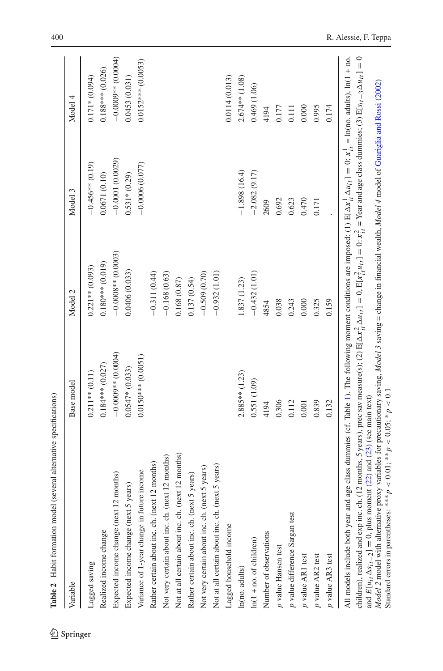| Table 2 Habit formation model (several alternative specifications)                                                                                                                                                                                                                                                                                                                                                                                                                                                                                                                                                                                                                                                                                                                     |                         |                      |                   |                      |
|----------------------------------------------------------------------------------------------------------------------------------------------------------------------------------------------------------------------------------------------------------------------------------------------------------------------------------------------------------------------------------------------------------------------------------------------------------------------------------------------------------------------------------------------------------------------------------------------------------------------------------------------------------------------------------------------------------------------------------------------------------------------------------------|-------------------------|----------------------|-------------------|----------------------|
| Variable                                                                                                                                                                                                                                                                                                                                                                                                                                                                                                                                                                                                                                                                                                                                                                               | Base model              | Model 2              | Model 3           | Model 4              |
| Lagged saving                                                                                                                                                                                                                                                                                                                                                                                                                                                                                                                                                                                                                                                                                                                                                                          | $0.211**$ $(0.11)$      | $0.221**$ (0.093)    | $-0.456**$ (0.19) | $0.171*(0.094)$      |
| Realized income change                                                                                                                                                                                                                                                                                                                                                                                                                                                                                                                                                                                                                                                                                                                                                                 | $0.184***$ (0.027)      | $0.180***$ (0.019)   | 0.0671(0.10)      | $0.188***$ (0.026)   |
| Expected income change (next 12 months)                                                                                                                                                                                                                                                                                                                                                                                                                                                                                                                                                                                                                                                                                                                                                | $-0.0000$ ** $(0.0004)$ | $-0.0008**$ (0.0003) | $-0.0001(0.0029)$ | $-0.0009**$ (0.0004) |
| i years)<br>Expected income change (next 5                                                                                                                                                                                                                                                                                                                                                                                                                                                                                                                                                                                                                                                                                                                                             | $0.0547*(0.033)$        | 0.0406 (0.033)       | $0.531*(0.29)$    | 0.0453(0.031)        |
| Variance of 1-year change in future income                                                                                                                                                                                                                                                                                                                                                                                                                                                                                                                                                                                                                                                                                                                                             | $0.0150***$ (0.0051)    |                      | $-0.0006(0.077)$  | $0.0152***$ (0.0053) |
| Rather certain about inc. ch. (next 12 months)                                                                                                                                                                                                                                                                                                                                                                                                                                                                                                                                                                                                                                                                                                                                         |                         | $-0.311(0.44)$       |                   |                      |
| Not very certain about inc. ch. (next 12 months)                                                                                                                                                                                                                                                                                                                                                                                                                                                                                                                                                                                                                                                                                                                                       |                         | $-0.168(0.63)$       |                   |                      |
| Not at all certain about inc. ch. (next 12 months)                                                                                                                                                                                                                                                                                                                                                                                                                                                                                                                                                                                                                                                                                                                                     |                         | 0.168(0.87)          |                   |                      |
| Rather certain about inc. ch. (next 5 years)                                                                                                                                                                                                                                                                                                                                                                                                                                                                                                                                                                                                                                                                                                                                           |                         | 0.137(0.54)          |                   |                      |
| Not very certain about inc. ch. (next 5 years)                                                                                                                                                                                                                                                                                                                                                                                                                                                                                                                                                                                                                                                                                                                                         |                         | $-0.509(0.70)$       |                   |                      |
| Not at all certain about inc. ch. (next 5 years)                                                                                                                                                                                                                                                                                                                                                                                                                                                                                                                                                                                                                                                                                                                                       |                         | $-0.932(1.01)$       |                   |                      |
| Lagged household income                                                                                                                                                                                                                                                                                                                                                                                                                                                                                                                                                                                                                                                                                                                                                                |                         |                      |                   | 0.0114 (0.013)       |
| In(no. adults)                                                                                                                                                                                                                                                                                                                                                                                                                                                                                                                                                                                                                                                                                                                                                                         | $2.885***$ (1.23)       | 1.837 (1.23)         | $-1.898(16.4)$    | $2.674**$ (1.08)     |
| $ln(1 + no. of children)$                                                                                                                                                                                                                                                                                                                                                                                                                                                                                                                                                                                                                                                                                                                                                              | 0.551(1.09)             | $-0.432(1.01)$       | $-2.082(9.17)$    | 0.469(1.06)          |
| Number of observations                                                                                                                                                                                                                                                                                                                                                                                                                                                                                                                                                                                                                                                                                                                                                                 | 4194                    | 4854                 | 2609              | 4194                 |
| p value Hansen test                                                                                                                                                                                                                                                                                                                                                                                                                                                                                                                                                                                                                                                                                                                                                                    | 0.306                   | 0.038                | 0.692             | 0.177                |
| p value difference Sargan test                                                                                                                                                                                                                                                                                                                                                                                                                                                                                                                                                                                                                                                                                                                                                         | 0.112                   | 0.243                | 0.623             | 0.111                |
| $\it p$ value AR1 test                                                                                                                                                                                                                                                                                                                                                                                                                                                                                                                                                                                                                                                                                                                                                                 | 0.001                   | 0.000                | 0.470             | 0.000                |
| p value AR2 test                                                                                                                                                                                                                                                                                                                                                                                                                                                                                                                                                                                                                                                                                                                                                                       | 0.839                   | 0.325                | 0.171             | 0.995                |
| p value AR3 test                                                                                                                                                                                                                                                                                                                                                                                                                                                                                                                                                                                                                                                                                                                                                                       | 0.132                   | 0.159                |                   | 0.174                |
| children), realized and exp inc. ch. (12 months, 5 years), prec sav measure(s); (2) E[ $\Delta x_{i}^2 \Delta u_{i}$ = 0, E[ $x_{i}^2 u_{i}$ = 0: $x_{i}^2 =$ Year and age class dummies; (3) E[ $s_{i-2} \Delta u_{i}$ ] = 0<br>All models include both year and age class dummies (cf. Table 1). The following moment conditions are imposed: (1) E[ $\Delta x_i^1$ , $\Delta u_{i1}$ ] = 0; $x_i^1$ , = $\ln(n_0)$ adults), $\ln(1 + n_0)$ .<br>Model 2 model with alternative proxy variables for precautionary saving, Model 3 saving = change in financial wealth, Model 4 model of Guariglia and Rossi (2002)<br>Standard errors in parentheses: *** $p < 0.01$ ; ** $p < 0.05$ ; * $p < 0.1$<br>and $E[u_{it}\Delta s_{it-2}] = 0$ , plus moment (22) and (23) (see main text) |                         |                      |                   |                      |

<span id="page-15-0"></span>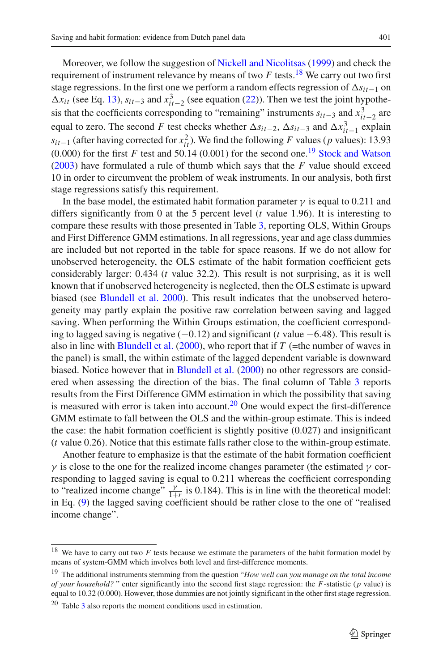Moreover, we follow the suggestion of [Nickell and Nicolitsas](#page-21-26) [\(1999\)](#page-21-26) and check the requirement of instrument relevance by means of two  $F$  tests.<sup>18</sup> We carry out two first stage regressions. In the first one we perform a random effects regression of  $\Delta s_{it-1}$  on  $\Delta x_{it}$  (see Eq. [13\)](#page-12-4),  $s_{it-3}$  and  $x_{it-2}^3$  (see equation [\(22\)](#page-13-2)). Then we test the joint hypothesis that the coefficients corresponding to "remaining" instruments  $s_{it-3}$  and  $x_{it-2}^3$  are equal to zero. The second *F* test checks whether  $\Delta s_{it-2}$ ,  $\Delta s_{it-3}$  and  $\Delta x_{it-1}^3$  explain  $s_{it-1}$  (after having corrected for  $x_{it}^2$ ). We find the following *F* values (*p* values): 13.93 (0.000) for the first *F* test and 50.14 (0.001) for the second one.<sup>19</sup> [Stock and Watson](#page-22-3) [\(2003\)](#page-22-3) have formulated a rule of thumb which says that the *F* value should exceed 10 in order to circumvent the problem of weak instruments. In our analysis, both first stage regressions satisfy this requirement.

In the base model, the estimated habit formation parameter  $\gamma$  is equal to 0.211 and differs significantly from 0 at the 5 percent level (*t* value 1.96). It is interesting to compare these results with those presented in Table [3,](#page-17-0) reporting OLS, Within Groups and First Difference GMM estimations. In all regressions, year and age class dummies are included but not reported in the table for space reasons. If we do not allow for unobserved heterogeneity, the OLS estimate of the habit formation coefficient gets considerably larger: 0.434 (*t* value 32.2). This result is not surprising, as it is well known that if unobserved heterogeneity is neglected, then the OLS estimate is upward biased (see [Blundell et al. 2000](#page-21-25)). This result indicates that the unobserved heterogeneity may partly explain the positive raw correlation between saving and lagged saving. When performing the Within Groups estimation, the coefficient corresponding to lagged saving is negative (−0.12) and significant (*t* value −6.48). This result is also in line with [Blundell et al.](#page-21-25)  $(2000)$ , who report that if  $T$  (=the number of waves in the panel) is small, the within estimate of the lagged dependent variable is downward biased. Notice however that in [Blundell et al.](#page-21-25) [\(2000\)](#page-21-25) no other regressors are considered when assessing the direction of the bias. The final column of Table [3](#page-17-0) reports results from the First Difference GMM estimation in which the possibility that saving is measured with error is taken into account.<sup>20</sup> One would expect the first-difference GMM estimate to fall between the OLS and the within-group estimate. This is indeed the case: the habit formation coefficient is slightly positive (0.027) and insignificant (*t* value 0.26). Notice that this estimate falls rather close to the within-group estimate.

Another feature to emphasize is that the estimate of the habit formation coefficient  $\gamma$  is close to the one for the realized income changes parameter (the estimated  $\gamma$  corresponding to lagged saving is equal to 0.211 whereas the coefficient corresponding to "realized income change"  $\frac{\gamma}{1+r}$  is 0.184). This is in line with the theoretical model: in Eq. [\(9\)](#page-6-2) the lagged saving coefficient should be rather close to the one of "realised income change".

<span id="page-16-0"></span><sup>&</sup>lt;sup>18</sup> We have to carry out two *F* tests because we estimate the parameters of the habit formation model by means of system-GMM which involves both level and first-difference moments.

<span id="page-16-1"></span><sup>19</sup> The additional instruments stemming from the question "*How well can you manage on the total income of your household?* " enter significantly into the second first stage regression: the *F*-statistic (*p* value) is equal to 10.32 (0.000). However, those dummies are not jointly significant in the other first stage regression.

<span id="page-16-2"></span><sup>20</sup> Table [3](#page-17-0) also reports the moment conditions used in estimation.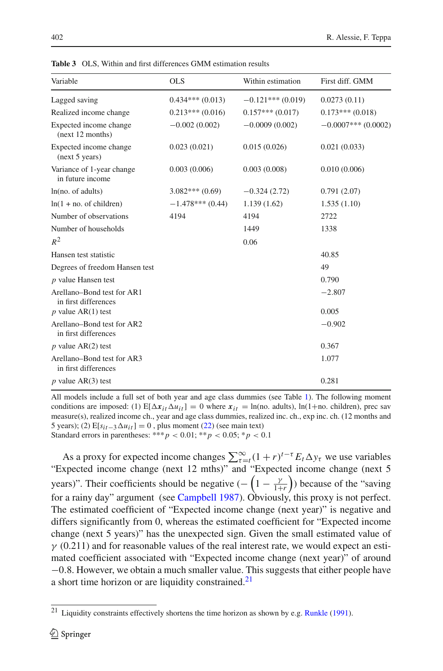<span id="page-17-0"></span>

| Variable                                           | <b>OLS</b>        | Within estimation  | First diff. GMM       |
|----------------------------------------------------|-------------------|--------------------|-----------------------|
| Lagged saving                                      | $0.434***(0.013)$ | $-0.121***(0.019)$ | 0.0273(0.11)          |
| Realized income change                             | $0.213***(0.016)$ | $0.157***(0.017)$  | $0.173***(0.018)$     |
| Expected income change<br>(next 12 months)         | $-0.002(0.002)$   | $-0.0009(0.002)$   | $-0.0007***$ (0.0002) |
| Expected income change<br>(next 5 years)           | 0.023(0.021)      | 0.015(0.026)       | 0.021(0.033)          |
| Variance of 1-year change<br>in future income      | 0.003(0.006)      | 0.003(0.008)       | 0.010(0.006)          |
| ln(no. of adults)                                  | $3.082***(0.69)$  | $-0.324(2.72)$     | 0.791(2.07)           |
| $ln(1 + no.$ of children)                          | $-1.478***(0.44)$ | 1.139(1.62)        | 1.535(1.10)           |
| Number of observations                             | 4194              | 4194               | 2722                  |
| Number of households                               |                   | 1449               | 1338                  |
| $R^2$                                              |                   | 0.06               |                       |
| Hansen test statistic                              |                   |                    | 40.85                 |
| Degrees of freedom Hansen test                     |                   |                    | 49                    |
| $p$ value Hansen test                              |                   |                    | 0.790                 |
| Arellano-Bond test for AR1<br>in first differences |                   |                    | $-2.807$              |
| p value $AR(1)$ test                               |                   |                    | 0.005                 |
| Arellano-Bond test for AR2<br>in first differences |                   |                    | $-0.902$              |
| p value $AR(2)$ test                               |                   |                    | 0.367                 |
| Arellano-Bond test for AR3<br>in first differences |                   |                    | 1.077                 |
| p value $AR(3)$ test                               |                   |                    | 0.281                 |

**Table 3** OLS, Within and first differences GMM estimation results

All models include a full set of both year and age class dummies (see Table [1\)](#page-11-1). The following moment conditions are imposed: (1)  $E[\Delta x_i, \Delta u_i] = 0$  where  $x_i = \ln(\text{no. adults})$ ,  $\ln(1+\text{no. children})$ , prec sav measure(s), realized income ch., year and age class dummies, realized inc. ch., exp inc. ch. (12 months and 5 years); (2)  $E[s_{it-3} \Delta u_{it}] = 0$ , plus moment [\(22\)](#page-13-2) (see main text) Standard errors in parentheses: \*\*\**p* < 0.01; \*\**p* < 0.05; \**p* < 0.1

As a proxy for expected income changes  $\sum_{\tau=t}^{\infty} (1+r)^{t-\tau} E_t \Delta y_\tau$  we use variables "Expected income change (next 12 mths)" and "Expected income change (next 5 years)". Their coefficients should be negative  $\left(-\left(1-\frac{\gamma}{1+\gamma}\right)\right)$  ) because of the "saving for a rainy day" argument (see [Campbell 1987](#page-21-27)). Obviously, this proxy is not perfect. The estimated coefficient of "Expected income change (next year)" is negative and differs significantly from 0, whereas the estimated coefficient for "Expected income change (next 5 years)" has the unexpected sign. Given the small estimated value of  $\gamma$  (0.211) and for reasonable values of the real interest rate, we would expect an estimated coefficient associated with "Expected income change (next year)" of around −0.8. However, we obtain a much smaller value. This suggests that either people have a short time horizon or are liquidity constrained.<sup>21</sup>

<span id="page-17-1"></span> $21$  Liquidity constraints effectively shortens the time horizon as shown by e.g. [Runkle](#page-21-10) [\(1991\)](#page-21-10).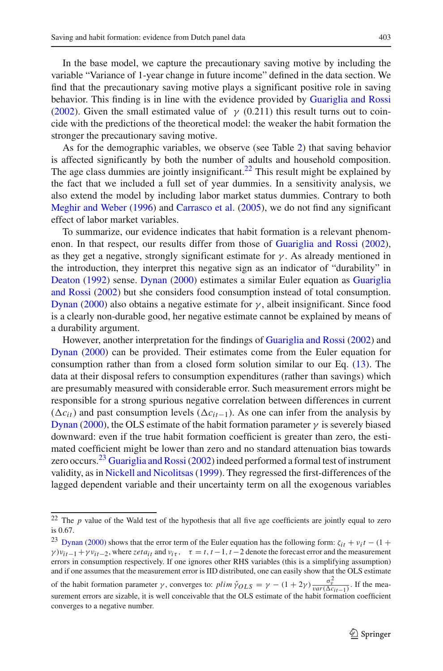In the base model, we capture the precautionary saving motive by including the variable "Variance of 1-year change in future income" defined in the data section. We find that the precautionary saving motive plays a significant positive role in saving behavior. This finding is in line with the evidence provided by [Guariglia and Rossi](#page-21-17) [\(2002\)](#page-21-17). Given the small estimated value of  $\gamma$  (0.211) this result turns out to coincide with the predictions of the theoretical model: the weaker the habit formation the stronger the precautionary saving motive.

As for the demographic variables, we observe (see Table [2\)](#page-15-0) that saving behavior is affected significantly by both the number of adults and household composition. The age class dummies are jointly insignificant.<sup>22</sup> This result might be explained by the fact that we included a full set of year dummies. In a sensitivity analysis, we also extend the model by including labor market status dummies. Contrary to both [Meghir and Weber](#page-21-12) [\(1996\)](#page-21-12) and [Carrasco et al.](#page-21-14) [\(2005](#page-21-14)), we do not find any significant effect of labor market variables.

To summarize, our evidence indicates that habit formation is a relevant phenomenon. In that respect, our results differ from those of [Guariglia and Rossi](#page-21-17) [\(2002](#page-21-17)), as they get a negative, strongly significant estimate for  $\gamma$ . As already mentioned in the introduction, they interpret this negative sign as an indicator of "durability" in [Deaton](#page-21-18) [\(1992\)](#page-21-18) sense. [Dynan](#page-21-13) [\(2000](#page-21-13)[\)](#page-21-17) [estimates](#page-21-17) [a](#page-21-17) [similar](#page-21-17) [Euler](#page-21-17) [equation](#page-21-17) [as](#page-21-17) Guariglia and Rossi [\(2002](#page-21-17)) but she considers food consumption instead of total consumption. [Dynan](#page-21-13) [\(2000](#page-21-13)) also obtains a negative estimate for  $\gamma$ , albeit insignificant. Since food is a clearly non-durable good, her negative estimate cannot be explained by means of a durability argument.

However, another interpretation for the findings of [Guariglia and Rossi](#page-21-17) [\(2002](#page-21-17)) and [Dynan](#page-21-13) [\(2000](#page-21-13)) can be provided. Their estimates come from the Euler equation for consumption rather than from a closed form solution similar to our Eq. [\(13\)](#page-12-4). The data at their disposal refers to consumption expenditures (rather than savings) which are presumably measured with considerable error. Such measurement errors might be responsible for a strong spurious negative correlation between differences in current  $(\Delta c_{it})$  and past consumption levels ( $\Delta c_{it-1}$ ). As one can infer from the analysis by [Dynan](#page-21-13) [\(2000\)](#page-21-13), the OLS estimate of the habit formation parameter  $\gamma$  is severely biased downward: even if the true habit formation coefficient is greater than zero, the estimated coefficient might be lower than zero and no standard attenuation bias towards zero occurs.<sup>23</sup> Guariglia and Rossi (2002) indeed performed a formal test of instrument validity, as in Nickell and Nicolitsas (1999). They regressed the first-differences of the lagged dependent variable and their uncertainty term on all the exogenous variables

<span id="page-18-0"></span><sup>&</sup>lt;sup>22</sup> The *p* value of the Wald test of the hypothesis that all five age coefficients are jointly equal to zero is 0.67.

<span id="page-18-1"></span><sup>&</sup>lt;sup>23</sup> [Dynan](#page-21-13) [\(2000\)](#page-21-13) shows that the error term of the Euler equation has the following form:  $\zeta_{it} + v_i t - (1 +$  $\gamma$ ) $v_{it-1} + \gamma v_{it-2}$ , where  $zeta_i$  and  $v_i$ <sub> $\tau$ </sub>,  $\tau = t$ ,  $t-1$ ,  $t-2$  denote the forecast error and the measurement errors in consumption respectively. If one ignores other RHS variables (this is a simplifying assumption) and if one assumes that the measurement error is IID distributed, one can easily show that the OLS estimate

of the habit formation parameter  $\gamma$ , converges to:  $\frac{\partial^2 u}{\partial L} = \gamma - (1 + 2\gamma) \frac{\sigma_v^2}{var(\Delta c_{it-1})}$ . If the measurement errors are sizable, it is well conceivable that the OLS estimate of the habit formation coefficient converges to a negative number.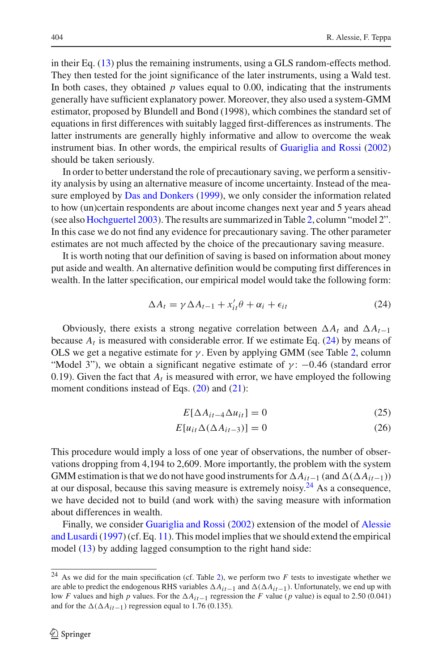in their Eq. [\(13\)](#page-12-4) plus the remaining instruments, using a GLS random-effects method. They then tested for the joint significance of the later instruments, using a Wald test. In both cases, they obtained  $p$  values equal to 0.00, indicating that the instruments generally have sufficient explanatory power. Moreover, they also used a system-GMM estimator, proposed by Blundell and Bond (1998), which combines the standard set of equations in first differences with suitably lagged first-differences as instruments. The latter instruments are generally highly informative and allow to overcome the weak instrument bias. In other words, the empirical results of [Guariglia and Rossi](#page-21-17) [\(2002\)](#page-21-17) should be taken seriously.

In order to better understand the role of precautionary saving, we perform a sensitivity analysis by using an alternative measure of income uncertainty. Instead of the measure employed by [Das and Donkers](#page-21-22) [\(1999](#page-21-22)), we only consider the information related to how (un)certain respondents are about income changes next year and 5 years ahead (see also [Hochguertel 2003](#page-21-23)). The results are summarized in Table [2,](#page-15-0) column "model 2". In this case we do not find any evidence for precautionary saving. The other parameter estimates are not much affected by the choice of the precautionary saving measure.

It is worth noting that our definition of saving is based on information about money put aside and wealth. An alternative definition would be computing first differences in wealth. In the latter specification, our empirical model would take the following form:

$$
\Delta A_t = \gamma \Delta A_{t-1} + x_{it}' \theta + \alpha_i + \epsilon_{it} \tag{24}
$$

<span id="page-19-0"></span>Obviously, there exists a strong negative correlation between  $\Delta A_t$  and  $\Delta A_{t-1}$ because  $A_t$  is measured with considerable error. If we estimate Eq.  $(24)$  by means of OLS we get a negative estimate for  $\gamma$ . Even by applying GMM (see Table [2,](#page-15-0) column "Model 3"), we obtain a significant negative estimate of  $\gamma$ :  $-0.46$  (standard error 0.19). Given the fact that  $A_t$  is measured with error, we have employed the following moment conditions instead of Eqs. [\(20\)](#page-13-0) and [\(21\)](#page-13-0):

$$
E[\Delta A_{it-4} \Delta u_{it}] = 0 \tag{25}
$$

$$
E[u_{it}\Delta(\Delta A_{it-3})] = 0 \tag{26}
$$

This procedure would imply a loss of one year of observations, the number of observations dropping from 4,194 to 2,609. More importantly, the problem with the system GMM estimation is that we do not have good instruments for  $\Delta A_{it-1}$  (and  $\Delta(\Delta A_{it-1})$ ) at our disposal, because this saving measure is extremely noisy.<sup>24</sup> As a consequence, we have decided not to build (and work with) the saving measure with information about differences in wealth.

Finally, we consider [Guariglia and Rossi](#page-21-17) [\(2002](#page-21-17)[\)](#page-21-16) [extension](#page-21-16) [of](#page-21-16) [the](#page-21-16) [model](#page-21-16) [of](#page-21-16) Alessie and Lusardi[\(1997\)](#page-21-16) (cf. Eq. [11\)](#page-7-1). This model implies that we should extend the empirical model [\(13\)](#page-12-4) by adding lagged consumption to the right hand side:

<span id="page-19-1"></span><sup>&</sup>lt;sup>24</sup> As we did for the main specification (cf. Table [2\)](#page-15-0), we perform two  $F$  tests to investigate whether we are able to predict the endogenous RHS variables *Ait*−<sup>1</sup> and (*Ait*−1). Unfortunately, we end up with low *F* values and high *p* values. For the *Ait*−<sup>1</sup> regression the *F* value (*p* value) is equal to 2.50 (0.041) and for the  $\Delta(\Delta A_{it-1})$  regression equal to 1.76 (0.135).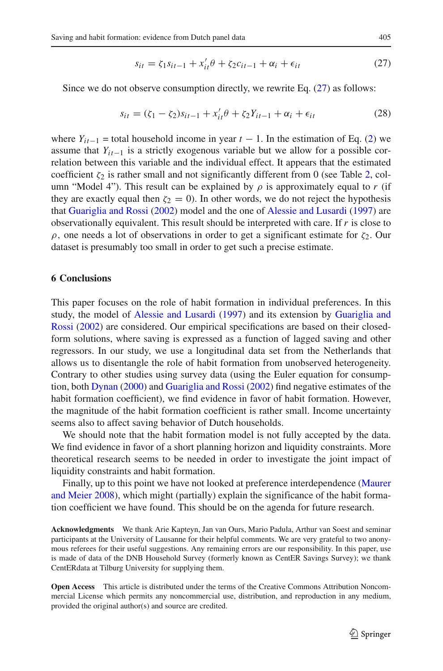$$
s_{it} = \zeta_1 s_{it-1} + x_{it}' \theta + \zeta_2 c_{it-1} + \alpha_i + \epsilon_{it}
$$
 (27)

<span id="page-20-1"></span>Since we do not observe consumption directly, we rewrite Eq. [\(27\)](#page-20-1) as follows:

$$
s_{it} = (\zeta_1 - \zeta_2)s_{it-1} + x_{it}'\theta + \zeta_2 Y_{it-1} + \alpha_i + \epsilon_{it}
$$
 (28)

where  $Y_{it-1}$  = total household income in year  $t-1$ . In the estimation of Eq. [\(2\)](#page-4-1) we assume that  $Y_{it-1}$  is a strictly exogenous variable but we allow for a possible correlation between this variable and the individual effect. It appears that the estimated coefficient  $\zeta_2$  is rather small and not significantly different from 0 (see Table [2,](#page-15-0) column "Model 4"). This result can be explained by  $\rho$  is approximately equal to *r* (if they are exactly equal then  $\zeta_2 = 0$ . In other words, we do not reject the hypothesis that [Guariglia and Rossi](#page-21-17) [\(2002\)](#page-21-17) model and the one of [Alessie and Lusardi](#page-21-16) [\(1997](#page-21-16)) are observationally equivalent. This result should be interpreted with care. If *r* is close to  $ρ$ , one needs a lot of observations in order to get a significant estimate for  $ζ_2$ . Our dataset is presumably too small in order to get such a precise estimate.

### <span id="page-20-0"></span>**6 Conclusions**

This paper focuses on the role of habit formation in individual preferences. In this study, the model of [Alessie and Lusardi](#page-21-16) [\(1997](#page-21-16)[\)](#page-21-17) [and](#page-21-17) [its](#page-21-17) [extension](#page-21-17) [by](#page-21-17) Guariglia and Rossi [\(2002\)](#page-21-17) are considered. Our empirical specifications are based on their closedform solutions, where saving is expressed as a function of lagged saving and other regressors. In our study, we use a longitudinal data set from the Netherlands that allows us to disentangle the role of habit formation from unobserved heterogeneity. Contrary to other studies using survey data (using the Euler equation for consumption, both [Dynan](#page-21-13) [\(2000](#page-21-13)) and [Guariglia and Rossi](#page-21-17) [\(2002](#page-21-17)) find negative estimates of the habit formation coefficient), we find evidence in favor of habit formation. However, the magnitude of the habit formation coefficient is rather small. Income uncertainty seems also to affect saving behavior of Dutch households.

We should note that the habit formation model is not fully accepted by the data. We find evidence in favor of a short planning horizon and liquidity constraints. More theoretical research seems to be needed in order to investigate the joint impact of liquidity constraints and habit formation.

Finally[,](#page-21-28) [up](#page-21-28) [to](#page-21-28) [this](#page-21-28) [point](#page-21-28) [we](#page-21-28) [have](#page-21-28) [not](#page-21-28) [looked](#page-21-28) [at](#page-21-28) [preference](#page-21-28) [interdependence](#page-21-28) [\(](#page-21-28)Maurer and Meier [2008\)](#page-21-28), which might (partially) explain the significance of the habit formation coefficient we have found. This should be on the agenda for future research.

**Acknowledgments** We thank Arie Kapteyn, Jan van Ours, Mario Padula, Arthur van Soest and seminar participants at the University of Lausanne for their helpful comments. We are very grateful to two anonymous referees for their useful suggestions. Any remaining errors are our responsibility. In this paper, use is made of data of the DNB Household Survey (formerly known as CentER Savings Survey); we thank CentERdata at Tilburg University for supplying them.

**Open Access** This article is distributed under the terms of the Creative Commons Attribution Noncommercial License which permits any noncommercial use, distribution, and reproduction in any medium, provided the original author(s) and source are credited.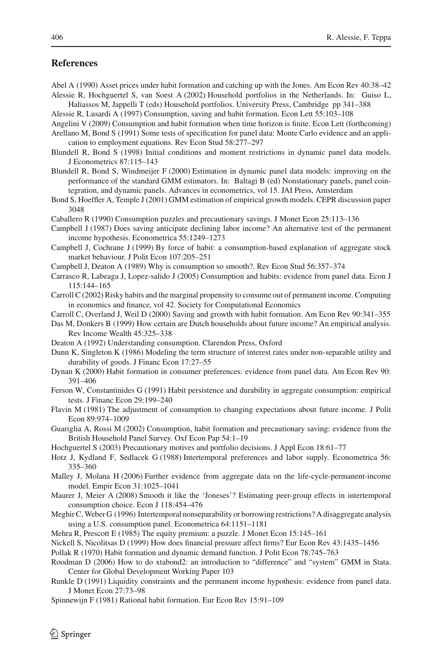### **References**

<span id="page-21-21"></span><span id="page-21-2"></span>Abel A (1990) Asset prices under habit formation and catching up with the Jones. Am Econ Rev 40:38–42 Alessie R, Hochguertel S, van Soest A (2002) Household portfolios in the Netherlands. In: Guiso L,

Haliassos M, Jappelli T (eds) Household portfolios. University Press, Cambridge pp 341–388

- <span id="page-21-16"></span>Alessie R, Lusardi A (1997) Consumption, saving and habit formation. Econ Lett 55:103–108
- <span id="page-21-24"></span>Angelini V (2009) Consumption and habit formation when time horizon is finite. Econ Lett (forthcoming)

Arellano M, Bond S (1991) Some tests of specification for panel data: Monte Carlo evidence and an application to employment equations. Rev Econ Stud 58:277–297

- Blundell R, Bond S (1998) Initial conditions and moment restrictions in dynamic panel data models. J Econometrics 87:115–143
- <span id="page-21-25"></span>Blundell R, Bond S, Windmeijer F (2000) Estimation in dynamic panel data models: improving on the performance of the standard GMM estimators. In: Baltagi B (ed) Nonstationary panels, panel cointegration, and dynamic panels. Advances in econometrics, vol 15. JAI Press, Amsterdam
- Bond S, Hoeffler A, Temple J (2001) GMM estimation of empirical growth models. CEPR discussion paper 3048
- Caballero R (1990) Consumption puzzles and precautionary savings. J Monet Econ 25:113–136
- <span id="page-21-27"></span><span id="page-21-19"></span>Campbell J (1987) Does saving anticipate declining labor income? An alternative test of the permanent income hypothesis. Econometrica 55:1249–1273
- <span id="page-21-3"></span>Campbell J, Cochrane J (1999) By force of habit: a consumption-based explanation of aggregate stock market behaviour. J Polit Econ 107:205–251
- Campbell J, Deaton A (1989) Why is consumption so smooth?. Rev Econ Stud 56:357–374
- <span id="page-21-14"></span><span id="page-21-9"></span>Carrasco R, Labeaga J, Lopez-salido J (2005) Consumption and habits: evidence from panel data. Econ J 115:144–165
- <span id="page-21-20"></span>Carroll C (2002) Risky habits and the marginal propensity to consume out of permanent income. Computing in economics and finance, vol 42. Society for Computational Economics
- <span id="page-21-4"></span>Carroll C, Overland J, Weil D (2000) Saving and growth with habit formation. Am Econ Rev 90:341–355

<span id="page-21-22"></span>Das M, Donkers B (1999) How certain are Dutch households about future income? An empirical analysis. Rev Income Wealth 45:325–338

- <span id="page-21-18"></span>Deaton A (1992) Understanding consumption. Clarendon Press, Oxford
- <span id="page-21-5"></span>Dunn K, Singleton K (1986) Modeling the term structure of interest rates under non-separable utility and durability of goods. J Financ Econ 17:27–55
- <span id="page-21-13"></span>Dynan K (2000) Habit formation in consumer preferences: evidence from panel data. Am Econ Rev 90: 391–406
- <span id="page-21-6"></span>Ferson W, Constantinides G (1991) Habit persistence and durability in aggregate consumption: empirical tests. J Financ Econ 29:199–240
- <span id="page-21-8"></span>Flavin M (1981) The adjustment of consumption to changing expectations about future income. J Polit Econ 89:974–1009
- <span id="page-21-17"></span>Guariglia A, Rossi M (2002) Consumption, habit formation and precautionary saving: evidence from the British Household Panel Survey. Oxf Econ Pap 54:1–19
- <span id="page-21-23"></span>Hochguertel S (2003) Precautionary motives and portfolio decisions. J Appl Econ 18:61–77
- <span id="page-21-7"></span>Hotz J, Kydland F, Sedlacek G (1988) Intertemporal preferences and labor supply. Econometrica 56: 335–360
- <span id="page-21-15"></span>Malley J, Molana H (2006) Further evidence from aggregate data on the life-cycle-permanent-income model. Empir Econ 31:1025–1041
- <span id="page-21-28"></span>Maurer J, Meier A (2008) Smooth it like the 'Joneses'? Estimating peer-group effects in intertemporal consumption choice. Econ J 118:454–476
- <span id="page-21-12"></span>Meghir C,Weber G (1996) Intertemporal nonseparability or borrowing restrictions? A disaggregate analysis using a U.S. consumption panel. Econometrica 64:1151–1181
- Mehra R, Prescott E (1985) The equity premium: a puzzle. J Monet Econ 15:145–161
- <span id="page-21-26"></span><span id="page-21-11"></span>Nickell S, Nicolitsas D (1999) How does financial pressure affect firms? Eur Econ Rev 43:1435–1456
- <span id="page-21-0"></span>Pollak R (1970) Habit formation and dynamic demand function. J Polit Econ 78:745–763
- Roodman D (2006) How to do xtabond2: an introduction to "difference" and "system" GMM in Stata. Center for Global Development Working Paper 103
- <span id="page-21-10"></span>Runkle D (1991) Liquidity constraints and the permanent income hypothesis: evidence from panel data. J Monet Econ 27:73–98
- <span id="page-21-1"></span>Spinnewijn F (1981) Rational habit formation. Eur Econ Rev 15:91–109